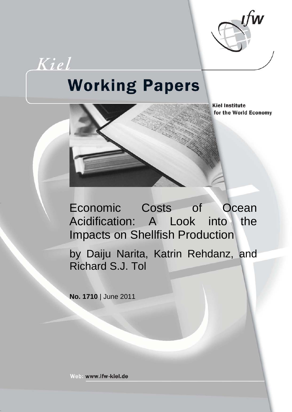

# Kiel **Working Papers**

**Kiel Institute** for the World Economy



by Daiju Narita, Katrin Rehdanz, and Richard S.J. Tol

**No. 1710** | June 2011

Web: www.ifw-kiel.de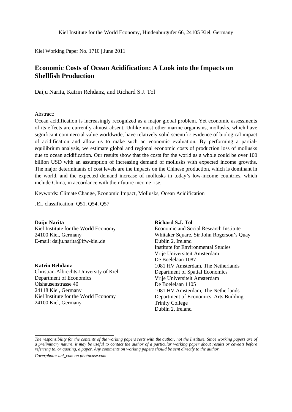Kiel Working Paper No. 1710 | June 2011

# **Economic Costs of Ocean Acidification: A Look into the Impacts on Shellfish Production**

Daiju Narita, Katrin Rehdanz, and Richard S.J. Tol

#### Abstract:

Ocean acidification is increasingly recognized as a major global problem. Yet economic assessments of its effects are currently almost absent. Unlike most other marine organisms, mollusks, which have significant commercial value worldwide, have relatively solid scientific evidence of biological impact of acidification and allow us to make such an economic evaluation. By performing a partialequilibrium analysis, we estimate global and regional economic costs of production loss of mollusks due to ocean acidification. Our results show that the costs for the world as a whole could be over 100 billion USD with an assumption of increasing demand of mollusks with expected income growths. The major determinants of cost levels are the impacts on the Chinese production, which is dominant in the world, and the expected demand increase of mollusks in today's low-income countries, which include China, in accordance with their future income rise.

Keywords: Climate Change, Economic Impact, Mollusks, Ocean Acidification

JEL classification: Q51, Q54, Q57

## **Daiju Narita**

Kiel Institute for the World Economy 24100 Kiel, Germany E-mail: daiju.narita@ifw-kiel.de

#### **Katrin Rehdanz**

Christian-Albrechts-University of Kiel Department of Economics Olshausenstrasse 40 24118 Kiel, Germany Kiel Institute for the World Economy 24100 Kiel, Germany

#### **Richard S.J. Tol**

Economic and Social Research Institute Whitaker Square, Sir John Rogerson's Quay Dublin 2, Ireland Institute for Environmental Studies Vrije Universiteit Amsterdam De Boelelaan 1087 1081 HV Amsterdam, The Netherlands Department of Spatial Economics Vrije Universiteit Amsterdam De Boelelaan 1105 1081 HV Amsterdam, The Netherlands Department of Economics, Arts Building Trinity College Dublin 2, Ireland

*The responsibility for the contents of the working papers rests with the author, not the Institute. Since working papers are of a preliminary nature, it may be useful to contact the author of a particular working paper about results or caveats before referring to, or quoting, a paper. Any comments on working papers should be sent directly to the author.*

*Coverphoto: uni\_com on photocase.com*

\_\_\_\_\_\_\_\_\_\_\_\_\_\_\_\_\_\_\_\_\_\_\_\_\_\_\_\_\_\_\_\_\_\_\_\_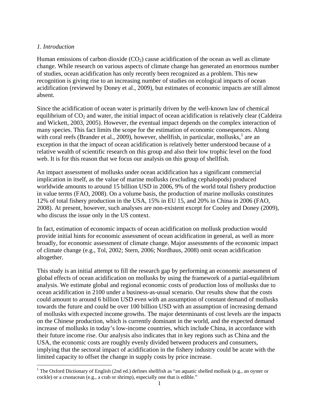## *1. Introduction*

**.** 

Human emissions of carbon dioxide  $(CO<sub>2</sub>)$  cause acidification of the ocean as well as climate change. While research on various aspects of climate change has generated an enormous number of studies, ocean acidification has only recently been recognized as a problem. This new recognition is giving rise to an increasing number of studies on ecological impacts of ocean acidification (reviewed by Doney et al., 2009), but estimates of economic impacts are still almost absent.

Since the acidification of ocean water is primarily driven by the well-known law of chemical equilibrium of  $CO<sub>2</sub>$  and water, the initial impact of ocean acidification is relatively clear (Caldeira and Wickett, 2003, 2005). However, the eventual impact depends on the complex interaction of many species. This fact limits the scope for the estimation of economic consequences. Along with coral reefs (Brander et al., 2009), however, shellfish, in particular, mollusks,<sup>[1](#page-2-0)</sup> are an exception in that the impact of ocean acidification is relatively better understood because of a relative wealth of scientific research on this group and also their low trophic level on the food web. It is for this reason that we focus our analysis on this group of shellfish.

An impact assessment of mollusks under ocean acidification has a significant commercial implication in itself, as the value of marine mollusks (excluding cephalopods) produced worldwide amounts to around 15 billion USD in 2006, 9% of the world total fishery production in value terms (FAO, 2008). On a volume basis, the production of marine mollusks constitutes 12% of total fishery production in the USA, 15% in EU 15, and 20% in China in 2006 (FAO, 2008). At present, however, such analyses are non-existent except for Cooley and Doney (2009), who discuss the issue only in the US context.

In fact, estimation of economic impacts of ocean acidification on mollusk production would provide initial hints for economic assessment of ocean acidification in general, as well as more broadly, for economic assessment of climate change. Major assessments of the economic impact of climate change (e.g., Tol, 2002; Stern, 2006; Nordhaus, 2008) omit ocean acidification altogether.

This study is an initial attempt to fill the research gap by performing an economic assessment of global effects of ocean acidification on mollusks by using the framework of a partial-equilibrium analysis. We estimate global and regional economic costs of production loss of mollusks due to ocean acidification in 2100 under a business-as-usual scenario. Our results show that the costs could amount to around 6 billion USD even with an assumption of constant demand of mollusks towards the future and could be over 100 billion USD with an assumption of increasing demand of mollusks with expected income growths. The major determinants of cost levels are the impacts on the Chinese production, which is currently dominant in the world, and the expected demand increase of mollusks in today's low-income countries, which include China, in accordance with their future income rise. Our analysis also indicates that in key regions such as China and the USA, the economic costs are roughly evenly divided between producers and consumers, implying that the sectoral impact of acidification in the fishery industry could be acute with the limited capacity to offset the change in supply costs by price increase.

<span id="page-2-0"></span><sup>&</sup>lt;sup>1</sup> The Oxford Dictionary of English (2nd ed.) defines shellfish as "an aquatic shelled mollusk (e.g., an oyster or cockle) or a crustacean (e.g., a crab or shrimp), especially one that is edible."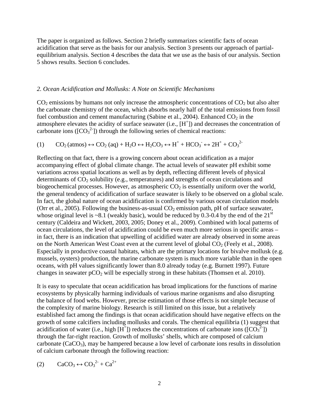The paper is organized as follows. Section 2 briefly summarizes scientific facts of ocean acidification that serve as the basis for our analysis. Section 3 presents our approach of partialequilibrium analysis. Section 4 describes the data that we use as the basis of our analysis. Section 5 shows results. Section 6 concludes.

#### *2. Ocean Acidification and Mollusks: A Note on Scientific Mechanisms*

 $CO<sub>2</sub>$  emissions by humans not only increase the atmospheric concentrations of  $CO<sub>2</sub>$  but also alter the carbonate chemistry of the ocean, which absorbs nearly half of the total emissions from fossil fuel combustion and cement manufacturing (Sabine et al., 2004). Enhanced  $CO<sub>2</sub>$  in the atmosphere elevates the acidity of surface seawater (i.e., [H<sup>+</sup>]) and decreases the concentration of carbonate ions ( $[CO<sub>3</sub><sup>2</sup>]$ ) through the following series of chemical reactions:

(1) 
$$
CO_2(\text{atmos}) \leftrightarrow CO_2(\text{aq}) + H_2O \leftrightarrow H_2CO_3 \leftrightarrow H^+ + HCO_3^- \leftrightarrow 2H^+ + CO_3^{2-}
$$

Reflecting on that fact, there is a growing concern about ocean acidification as a major accompanying effect of global climate change. The actual levels of seawater pH exhibit some variations across spatial locations as well as by depth, reflecting different levels of physical determinants of  $CO<sub>2</sub>$  solubility (e.g., temperatures) and strengths of ocean circulations and biogeochemical processes. However, as atmospheric  $CO<sub>2</sub>$  is essentially uniform over the world, the general tendency of acidification of surface seawater is likely to be observed on a global scale. In fact, the global nature of ocean acidification is confirmed by various ocean circulation models (Orr et al., 2005). Following the business-as-usual  $CO<sub>2</sub>$  emission path, pH of surface seawater, whose original level is ~8.1 (weakly basic), would be reduced by 0.3-0.4 by the end of the  $21<sup>st</sup>$ century (Caldeira and Wickett, 2003, 2005; Doney et al., 2009). Combined with local patterns of ocean circulations, the level of acidification could be even much more serious in specific areas – in fact, there is an indication that upwelling of acidified water are already observed in some areas on the North American West Coast even at the current level of global  $CO<sub>2</sub>$  (Feely et al., 2008). Especially in productive coastal habitats, which are the primary locations for bivalve mollusk (e.g. mussels, oysters) production, the marine carbonate system is much more variable than in the open oceans, with pH values significantly lower than 8.0 already today (e.g. Burnett 1997). Future changes in seawater  $pCO<sub>2</sub>$  will be especially strong in these habitats (Thomsen et al. 2010).

It is easy to speculate that ocean acidification has broad implications for the functions of marine ecosystems by physically harming individuals of various marine organisms and also disrupting the balance of food webs. However, precise estimation of those effects is not simple because of the complexity of marine biology. Research is still limited on this issue, but a relatively established fact among the findings is that ocean acidification should have negative effects on the growth of some calcifiers including mollusks and corals. The chemical equilibria (1) suggest that acidification of water (i.e., high  $[H^+]$ ) reduces the concentrations of carbonate ions ( $[CO_3^2]$ ) through the far-right reaction. Growth of mollusks' shells, which are composed of calcium carbonate  $(CaCO<sub>3</sub>)$ , may be hampered because a low level of carbonate ions results in dissolution of calcium carbonate through the following reaction:

$$
(2) \qquad \text{CaCO}_3 \leftrightarrow \text{CO}_3^{2-} + \text{Ca}^{2+}
$$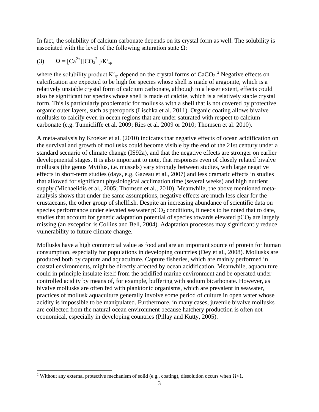In fact, the solubility of calcium carbonate depends on its crystal form as well. The solubility is associated with the level of the following saturation state  $\Omega$ :

(3) 
$$
\Omega = [Ca^{2+}][CO_3^{2-}]/K'_{sp}
$$

**.** 

where the solubility product  $K'_{sp}$  depend on the crystal forms of  $CaCO<sub>3</sub>$ .<sup>[2](#page-4-0)</sup> Negative effects on calcification are expected to be high for species whose shell is made of aragonite, which is a relatively unstable crystal form of calcium carbonate, although to a lesser extent, effects could also be significant for species whose shell is made of calcite, which is a relatively stable crystal form. This is particularly problematic for mollusks with a shell that is not covered by protective organic outer layers, such as pteropods (Lischka et al. 2011). Organic coating allows bivalve mollusks to calcify even in ocean regions that are under saturated with respect to calcium carbonate (e.g. Tunnicliffe et al. 2009; Ries et al. 2009 or 2010; Thomsen et al. 2010).

A meta-analysis by Kroeker et al. (2010) indicates that negative effects of ocean acidification on the survival and growth of mollusks could become visible by the end of the 21st century under a standard scenario of climate change (IS92a), and that the negative effects are stronger on earlier developmental stages. It is also important to note, that responses even of closely related bivalve molluscs (the genus Mytilus, i.e. mussels) vary strongly between studies, with large negative effects in short-term studies (days, e.g. Gazeau et al., 2007) and less dramatic effects in studies that allowed for significant physiological acclimation time (several weeks) and high nutrient supply (Michaelidis et al., 2005; Thomsen et al., 2010). Meanwhile, the above mentioned metaanalysis shows that under the same assumptions, negative effects are much less clear for the crustaceans, the other group of shellfish. Despite an increasing abundance of scientific data on species performance under elevated seawater  $pCO<sub>2</sub>$  conditions, it needs to be noted that to date, studies that account for genetic adaptation potential of species towards elevated  $pCO<sub>2</sub>$  are largely missing (an exception is Collins and Bell, 2004). Adaptation processes may significantly reduce vulnerability to future climate change.

Mollusks have a high commercial value as food and are an important source of protein for human consumption, especially for populations in developing countries (Dey et al., 2008). Mollusks are produced both by capture and aquaculture. Capture fisheries, which are mainly performed in coastal environments, might be directly affected by ocean acidification. Meanwhile, aquaculture could in principle insulate itself from the acidified marine environment and be operated under controlled acidity by means of, for example, buffering with sodium bicarbonate. However, as bivalve mollusks are often fed with planktonic organisms, which are prevalent in seawater, practices of mollusk aquaculture generally involve some period of culture in open water whose acidity is impossible to be manipulated. Furthermore, in many cases, juvenile bivalve mollusks are collected from the natural ocean environment because hatchery production is often not economical, especially in developing countries (Pillay and Kutty, 2005).

<span id="page-4-0"></span><sup>&</sup>lt;sup>2</sup> Without any external protective mechanism of solid (e.g., coating), dissolution occurs when  $\Omega$ <1.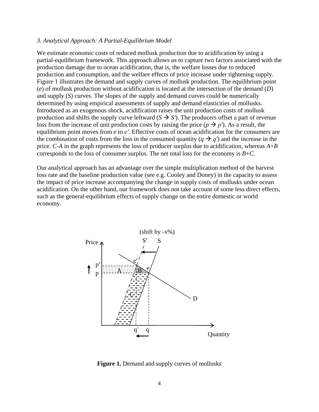#### *3. Analytical Approach: A Partial-Equilibrium Model*

We estimate economic costs of reduced mollusk production due to acidification by using a partial-equilibrium framework. This approach allows us to capture two factors associated with the production damage due to ocean acidification, that is, the welfare losses due to reduced production and consumption, and the welfare effects of price increase under tightening supply. Figure 1 illustrates the demand and supply curves of mollusk production. The equilibrium point (*e*) of mollusk production without acidification is located at the intersection of the demand (*D*) and supply (*S*) curves. The slopes of the supply and demand curves could be numerically determined by using empirical assessments of supply and demand elasticities of mollusks. Introduced as an exogenous shock, acidification raises the unit production costs of mollusk production and shifts the supply curve leftward  $(S \rightarrow S')$ . The producers offset a part of revenue loss from the increase of unit production costs by raising the price  $(p \rightarrow p')$ . As a result, the equilibrium point moves from *e* to *e′*. Effective costs of ocean acidification for the consumers are the combination of costs from the loss in the consumed quantity ( $q \rightarrow q'$ ) and the increase in the price. *C*-*A* in the graph represents the loss of producer surplus due to acidification, whereas *A*+*B* corresponds to the loss of consumer surplus. The net total loss for the economy is *B*+*C*.

Our analytical approach has an advantage over the simple multiplication method of the harvest loss rate and the baseline production value (see e.g. Cooley and Doney) in the capacity to assess the impact of price increase accompanying the change in supply costs of mollusks under ocean acidification. On the other hand, our framework does not take account of some less direct effects, such as the general-equilibrium effects of supply change on the entire domestic or world economy.



**Figure 1.** Demand and supply curves of mollusks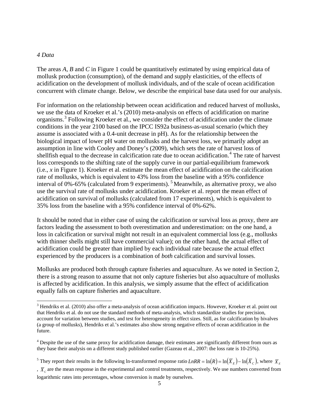#### *4 Data*

**.** 

The areas *A*, *B* and *C* in Figure 1 could be quantitatively estimated by using empirical data of mollusk production (consumption), of the demand and supply elasticities, of the effects of acidification on the development of mollusk individuals, and of the scale of ocean acidification concurrent with climate change. Below, we describe the empirical base data used for our analysis.

For information on the relationship between ocean acidification and reduced harvest of mollusks, we use the data of Kroeker et al.'s (2010) meta-analysis on effects of acidification on marine organisms.[3](#page-6-0) Following Kroeker et al., we consider the effect of acidification under the climate conditions in the year 2100 based on the IPCC IS92a business-as-usual scenario (which they assume is associated with a 0.4-unit decrease in pH). As for the relationship between the biological impact of lower pH water on mollusks and the harvest loss, we primarily adopt an assumption in line with Cooley and Doney's (2009), which sets the rate of harvest loss of shellfish equal to the decrease in calcification rate due to ocean acidification.<sup>[4](#page-6-1)</sup> The rate of harvest loss corresponds to the shifting rate of the supply curve in our partial-equilibrium framework (i.e., *x* in Figure 1). Kroeker et al. estimate the mean effect of acidification on the calcification rate of mollusks, which is equivalent to 43% loss from the baseline with a 95% confidence interval of 0%-6[5](#page-6-2)% (calculated from 9 experiments).  $5$  Meanwhile, as alternative proxy, we also use the survival rate of mollusks under acidification. Kroeker et al. report the mean effect of acidification on survival of mollusks (calculated from 17 experiments), which is equivalent to 35% loss from the baseline with a 95% confidence interval of 0%-62%.

It should be noted that in either case of using the calcification or survival loss as proxy, there are factors leading the assessment to both overestimation and underestimation: on the one hand, a loss in calcification or survival might not result in an equivalent commercial loss (e.g., mollusks with thinner shells might still have commercial value); on the other hand, the actual effect of acidification could be greater than implied by each individual rate because the actual effect experienced by the producers is a combination of *both* calcification and survival losses.

Mollusks are produced both through capture fisheries and aquaculture. As we noted in Section 2, there is a strong reason to assume that not only capture fisheries but also aquaculture of mollusks is affected by acidification. In this analysis, we simply assume that the effect of acidification equally falls on capture fisheries and aquaculture.

<span id="page-6-0"></span> $3$  Hendriks et al. (2010) also offer a meta-analysis of ocean acidification impacts. However, Kroeker et al. point out that Hendriks et al. do not use the standard methods of meta-analysis, which standardize studies for precision, account for variation between studies, and test for heterogeneity in effect sizes. Still, as for calcification by bivalves (a group of mollusks), Hendriks et al.'s estimates also show strong negative effects of ocean acidification in the future.

<span id="page-6-1"></span><sup>&</sup>lt;sup>4</sup> Despite the use of the same proxy for acidification damage, their estimates are significantly different from ours as they base their analysis on a different study published earlier (Gazeau et al., 2007: the loss rate is 10-25%).

<span id="page-6-2"></span><sup>&</sup>lt;sup>5</sup> They report their results in the following ln-transformed response ratio  $L nRR = \ln(R) = \ln(\overline{X}_F) - \ln(\overline{X}_C)$ , where  $\overline{X}_F$ 

<sup>,</sup>  $\bar{X}_c$  are the mean response in the experimental and control treatments, respectively. We use numbers converted from logarithmic rates into percentages, whose conversion is made by ourselves.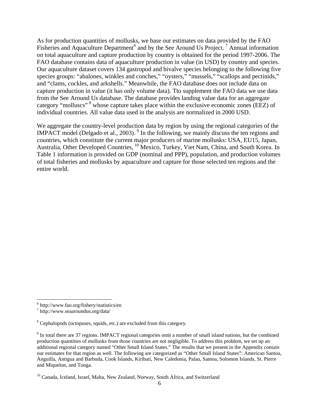As for production quantities of mollusks, we base our estimates on data provided by the FAO Fisheries and Aquaculture Department<sup>[6](#page-7-0)</sup> and by the See Around Us Project.<sup>[7](#page-7-1)</sup> Annual information on total aquaculture and capture production by country is obtained for the period 1997-2006. The FAO database contains data of aquaculture production in value (in USD) by country and species. Our aquaculture dataset covers 134 gastropod and bivalve species belonging to the following five species groups: "abalones, winkles and conches," "oysters," "mussels," "scallops and pectinids," and "clams, cockles, and arkshells." Meanwhile, the FAO database does not include data on capture production in value (it has only volume data). Tto supplement the FAO data we use data from the See Around Us database. The database provides landing value data for an aggregate category "molluscs"<sup>[8](#page-7-2)</sup> whose capture takes place within the exclusive economic zones (EEZ) of individual countries. All value data used in the analysis are normalized in 2000 USD.

We aggregate the country-level production data by region by using the regional categories of the IMPACT model (Delgado et al., 2003). <sup>[9](#page-7-3)</sup> In the following, we mainly discuss the ten regions and countries, which constitute the current major producers of marine mollusks: USA, EU15, Japan, Australia, Other Developed Countries, <sup>[10](#page-7-4)</sup> Mexico, Turkey, Viet Nam, China, and South Korea. In Table 1 information is provided on GDP (nominal and PPP), population, and production volumes of total fisheries and mollusks by aquaculture and capture for those selected ten regions and the entire world.

**.** 

<span id="page-7-0"></span> $^6$  http://www.fao.org/fishery/statistics/en<br> $^7$  http://www.seaaroundus.org/data/

<span id="page-7-1"></span>

<span id="page-7-2"></span><sup>&</sup>lt;sup>8</sup> Cephalopods (octopuses, squids, etc.) are excluded from this category.

<span id="page-7-3"></span><sup>&</sup>lt;sup>9</sup> In total there are 37 regions. IMPACT regional categories omit a number of small island nations, but the combined production quantities of mollusks from those countries are not negligible. To address this problem, we set up an additional regional category named "Other Small Island States." The results that we present in the Appendix contain our estimates for that region as well. The following are categorized as "Other Small Island States": American Samoa, Anguilla, Antigua and Barbuda, Cook Islands, Kiribati, New Caledonia, Palau, Samoa, Solomon Islands, St. Pierre and Miquelon, and Tonga.

<span id="page-7-4"></span><sup>&</sup>lt;sup>10</sup> Canada, Iceland, Israel, Malta, New Zealand, Norway, South Africa, and Switzerland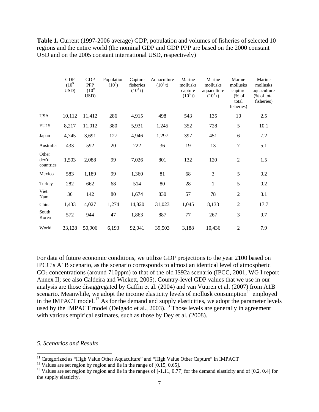|                             | <b>GDP</b><br>$(10^{9}$<br>USD) | <b>GDP</b><br><b>PPP</b><br>$(10^{9}$<br>USD) | Population<br>$(10^6)$ | Capture<br>fisheries<br>$(10^3 t)$ | Aquaculture<br>$(10^3 t)$ | Marine<br>mollusks<br>capture<br>$(10^3 t)$ | Marine<br>mollusks<br>aquaculture<br>$(10^3 t)$ | Marine<br>mollusks<br>capture<br>% of<br>total<br>fisheries) | Marine<br>mollusks<br>aquaculture<br>(% of total)<br>fisheries) |
|-----------------------------|---------------------------------|-----------------------------------------------|------------------------|------------------------------------|---------------------------|---------------------------------------------|-------------------------------------------------|--------------------------------------------------------------|-----------------------------------------------------------------|
| <b>USA</b>                  | 10,112                          | 11,412                                        | 286                    | 4,915                              | 498                       | 543                                         | 135                                             | 10                                                           | 2.5                                                             |
| <b>EU15</b>                 | 8,217                           | 11,012                                        | 380                    | 5,931                              | 1,245                     | 352                                         | 728                                             | 5                                                            | 10.1                                                            |
| Japan                       | 4,745                           | 3,691                                         | 127                    | 4,946                              | 1,297                     | 397                                         | 451                                             | 6                                                            | 7.2                                                             |
| Australia                   | 433                             | 592                                           | 20                     | 222                                | 36                        | 19                                          | 13                                              | $\tau$                                                       | 5.1                                                             |
| Other<br>dev'd<br>countries | 1,503                           | 2,088                                         | 99                     | 7,026                              | 801                       | 132                                         | 120                                             | $\overline{2}$                                               | 1.5                                                             |
| Mexico                      | 583                             | 1,189                                         | 99                     | 1,360                              | 81                        | 68                                          | 3                                               | 5                                                            | 0.2                                                             |
| Turkey                      | 282                             | 662                                           | 68                     | 514                                | 80                        | 28                                          | $\mathbf{1}$                                    | 5                                                            | 0.2                                                             |
| Viet<br>Nam                 | 36                              | 142                                           | 80                     | 1,674                              | 830                       | 57                                          | 78                                              | $\overline{2}$                                               | 3.1                                                             |
| China                       | 1,433                           | 4,027                                         | 1,274                  | 14,820                             | 31,023                    | 1,045                                       | 8,133                                           | $\overline{2}$                                               | 17.7                                                            |
| South<br>Korea              | 572                             | 944                                           | 47                     | 1,863                              | 887                       | 77                                          | 267                                             | 3                                                            | 9.7                                                             |
| World                       | 33,128                          | 50,906                                        | 6,193                  | 92,041                             | 39,503                    | 3,188                                       | 10,436                                          | $\overline{2}$                                               | 7.9                                                             |

Table 1. Current (1997-2006 average) GDP, population and volumes of fisheries of selected 10 regions and the entire world (the nominal GDP and GDP PPP are based on the 2000 constant USD and on the 2005 constant international USD, respectively)

For data of future economic conditions, we utilize GDP projections to the year 2100 based on IPCC's A1B scenario, as the scenario corresponds to almost an identical level of atmospheric CO<sub>2</sub> concentrations (around 710ppm) to that of the old IS92a scenario (IPCC, 2001, WG I report Annex II; see also Caldeira and Wickett, 2005). Country-level GDP values that we use in our analysis are those disaggregated by Gaffin et al. (2004) and van Vuuren et al. (2007) from A1B scenario. Meanwhile, we adopt the income elasticity levels of mollusk consumption $11$  employed in the IMPACT model.<sup>[12](#page-8-1)</sup> As for the demand and supply elasticities, we adopt the parameter levels used by the IMPACT model (Delgado et al., 2003).<sup>[13](#page-8-2)</sup> Those levels are generally in agreement with various empirical estimates, such as those by Dey et al. (2008).

#### *5. Scenarios and Results*

<span id="page-8-0"></span><sup>&</sup>lt;sup>11</sup> Categorized as "High Value Other Aquaculture" and "High Value Other Capture" in IMPACT

<span id="page-8-2"></span><span id="page-8-1"></span><sup>&</sup>lt;sup>12</sup> Values are set region by region and lie in the range of [0.15, 0.65].<br><sup>13</sup> Values are set region by region and lie in the ranges of [-1.11, 0.77] for the demand elasticity and of [0.2, 0.4] for the supply elasticity.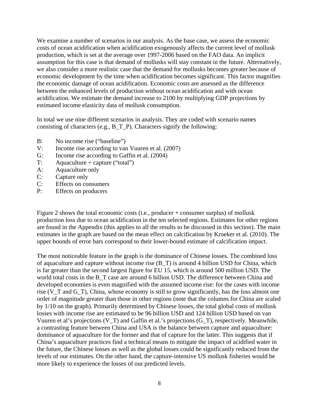We examine a number of scenarios in our analysis. As the base case, we assess the economic costs of ocean acidification when acidification exogenously affects the current level of mollusk production, which is set at the average over 1997-2006 based on the FAO data. An implicit assumption for this case is that demand of mollusks will stay constant in the future. Alternatively, we also consider a more realistic case that the demand for mollusks becomes greater because of economic development by the time when acidification becomes significant. This factor magnifies the economic damage of ocean acidification. Economic costs are assessed as the difference between the enhanced levels of production without ocean acidification and with ocean acidification. We estimate the demand increase to 2100 by multiplying GDP projections by estimated income elasticity data of mollusk consumption.

In total we use nine different scenarios in analysis. They are coded with scenario names consisting of characters (e.g., B\_T\_P). Characters signify the following:

- B: No income rise ("baseline")
- V: Income rise according to van Vuuren et al. (2007)
- G: Income rise according to Gaffin et al. (2004)
- $T:$  Aquaculture + capture ("total")
- A: Aquaculture only
- C: Capture only
- C: Effects on consumers
- P: Effects on producers

Figure 2 shows the total economic costs (i.e., producer + consumer surplus) of mollusk production loss due to ocean acidification in the ten selected regions. Estimates for other regions are found in the Appendix (this applies to all the results to be discussed in this section). The main estimates in the graph are based on the mean effect on calcification by Kroeker et al. (2010). The upper bounds of error bars correspond to their lower-bound estimate of calcification impact.

The most noticeable feature in the graph is the dominance of Chinese losses. The combined loss of aquaculture and capture without income rise (B\_T) is around 4 billion USD for China, which is far greater than the second largest figure for EU 15, which is around 500 million USD. The world total costs in the B\_T case are around 6 billion USD. The difference between China and developed economies is even magnified with the assumed income rise: for the cases with income rise (V\_T and G\_T), China, whose economy is still to grow significantly, has the loss almost one order of magnitude greater than those in other regions (note that the columns for China are scaled by 1/10 on the graph). Primarily determined by Chinese losses, the total global costs of mollusk losses with income rise are estimated to be 96 billion USD and 124 billion USD based on van Vuuren et al's projections (V\_T) and Gaffin et al.'s projections (G\_T), respectively. Meanwhile, a contrasting feature between China and USA is the balance between capture and aquaculture: dominance of aquaculture for the former and that of capture for the latter. This suggests that if China's aquaculture practices find a technical means to mitigate the impact of acidified water in the future, the Chinese losses as well as the global losses could be significantly reduced from the levels of our estimates. On the other hand, the capture-intensive US mollusk fisheries would be more likely to experience the losses of our predicted levels.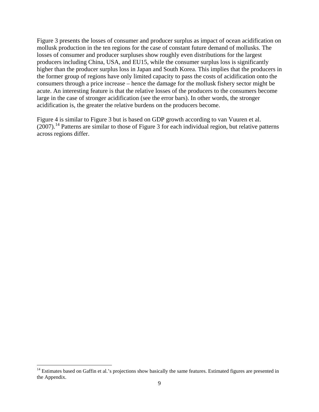Figure 3 presents the losses of consumer and producer surplus as impact of ocean acidification on mollusk production in the ten regions for the case of constant future demand of mollusks. The losses of consumer and producer surpluses show roughly even distributions for the largest producers including China, USA, and EU15, while the consumer surplus loss is significantly higher than the producer surplus loss in Japan and South Korea. This implies that the producers in the former group of regions have only limited capacity to pass the costs of acidification onto the consumers through a price increase – hence the damage for the mollusk fishery sector might be acute. An interesting feature is that the relative losses of the producers to the consumers become large in the case of stronger acidification (see the error bars). In other words, the stronger acidification is, the greater the relative burdens on the producers become.

Figure 4 is similar to Figure 3 but is based on GDP growth according to van Vuuren et al.  $(2007)$ .<sup>[14](#page-10-0)</sup> Patterns are similar to those of Figure 3 for each individual region, but relative patterns across regions differ.

**.** 

<span id="page-10-0"></span><sup>&</sup>lt;sup>14</sup> Estimates based on Gaffin et al.'s projections show basically the same features. Estimated figures are presented in the Appendix.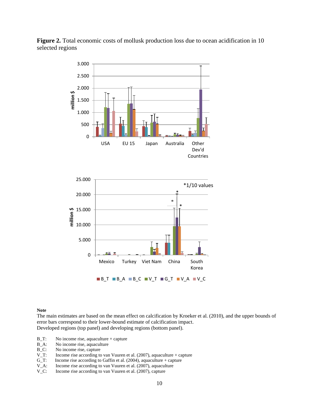

**Figure 2.** Total economic costs of mollusk production loss due to ocean acidification in 10 selected regions

#### **Note**

The main estimates are based on the mean effect on calcification by Kroeker et al. (2010), and the upper bounds of error bars correspond to their lower-bound estimate of calcification impact. Developed regions (top panel) and developing regions (bottom panel).

- B\_T: No income rise, aquaculture + capture
- B\_A: No income rise, aquaculture <br>B\_C: No income rise, capture
- B\_C: No income rise, capture V\_T: Income rise according to
- V\_T: Income rise according to van Vuuren et al. (2007), aquaculture + capture G\_T: Income rise according to Gaffin et al. (2004), aquaculture + capture
- Income rise according to Gaffin et al. (2004), aquaculture + capture
- V\_A: Income rise according to van Vuuren et al. (2007), aquaculture V\_C: Income rise according to van Vuuren et al. (2007), capture
- Income rise according to van Vuuren et al. (2007), capture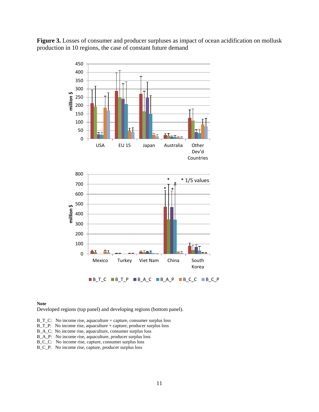**Figure 3.** Losses of consumer and producer surpluses as impact of ocean acidification on mollusk production in 10 regions, the case of constant future demand



#### **Note**

Developed regions (top panel) and developing regions (bottom panel).

- B\_T\_C: No income rise, aquaculture + capture, consumer surplus loss
- B\_T\_P: No income rise, aquaculture + capture, producer surplus loss
- B\_A\_C: No income rise, aquaculture, consumer surplus loss
- B\_A\_P: No income rise, aquaculture, producer surplus loss
- B\_C\_C: No income rise, capture, consumer surplus loss
- B\_C\_P: No income rise, capture, producer surplus loss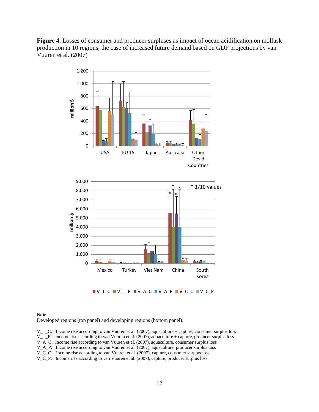



#### **Note**

Developed regions (top panel) and developing regions (bottom panel).

V\_T\_C: Income rise according to van Vuuren et al. (2007), aquaculture + capture, consumer surplus loss

V\_T\_P: Income rise according to van Vuuren et al. (2007), aquaculture + capture, producer surplus loss

V\_A\_C: Income rise according to van Vuuren et al. (2007), aquaculture, consumer surplus loss

V\_A\_P: Income rise according to van Vuuren et al. (2007), aquaculture, producer surplus loss

V C C: Income rise according to van Vuuren et al. (2007), capture, consumer surplus loss

V\_C\_P: Income rise according to van Vuuren et al. (2007), capture, producer surplus loss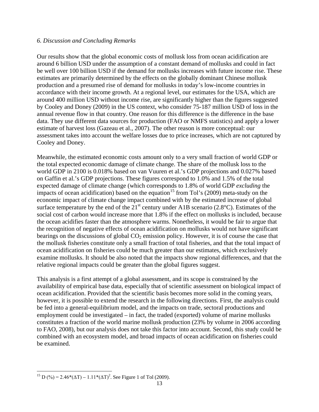#### *6. Discussion and Concluding Remarks*

Our results show that the global economic costs of mollusk loss from ocean acidification are around 6 billion USD under the assumption of a constant demand of mollusks and could in fact be well over 100 billion USD if the demand for mollusks increases with future income rise. These estimates are primarily determined by the effects on the globally dominant Chinese mollusk production and a presumed rise of demand for mollusks in today's low-income countries in accordance with their income growth. At a regional level, our estimates for the USA, which are around 400 million USD without income rise, are significantly higher than the figures suggested by Cooley and Doney (2009) in the US context, who consider 75-187 million USD of loss in the annual revenue flow in that country. One reason for this difference is the difference in the base data. They use different data sources for production (FAO or NMFS statistics) and apply a lower estimate of harvest loss (Gazeau et al., 2007). The other reason is more conceptual: our assessment takes into account the welfare losses due to price increases, which are not captured by Cooley and Doney.

Meanwhile, the estimated economic costs amount only to a very small fraction of world GDP or the total expected economic damage of climate change. The share of the mollusk loss to the world GDP in 2100 is 0.018% based on van Vuuren et al.'s GDP projections and 0.027% based on Gaffin et al.'s GDP projections. These figures correspond to 1.0% and 1.5% of the total expected damage of climate change (which corresponds to 1.8% of world GDP *excluding* the impacts of ocean acidification) based on the equation<sup>[15](#page-14-0)</sup> from Tol's (2009) meta-study on the economic impact of climate change impact combined with by the estimated increase of global surface temperature by the end of the  $21<sup>st</sup>$  century under A1B scenario (2.8°C). Estimates of the social cost of carbon would increase more that 1.8% if the effect on mollusks is included, because the ocean acidifies faster than the atmosphere warms. Nonetheless, it would be fair to argue that the recognition of negative effects of ocean acidification on mollusks would not have significant bearings on the discussions of global  $CO<sub>2</sub>$  emission policy. However, it is of course the case that the mollusk fisheries constitute only a small fraction of total fisheries, and that the total impact of ocean acidification on fisheries could be much greater than our estimates, which exclusively examine mollusks. It should be also noted that the impacts show regional differences, and that the relative regional impacts could be greater than the global figures suggest.

This analysis is a first attempt of a global assessment, and its scope is constrained by the availability of empirical base data, especially that of scientific assessment on biological impact of ocean acidification. Provided that the scientific basis becomes more solid in the coming years, however, it is possible to extend the research in the following directions. First, the analysis could be fed into a general-equilibrium model, and the impacts on trade, sectoral productions and employment could be investigated – in fact, the traded (exported) volume of marine mollusks constitutes a fraction of the world marine mollusk production (23% by volume in 2006 according to FAO, 2008), but our analysis does not take this factor into account. Second, this study could be combined with an ecosystem model, and broad impacts of ocean acidification on fisheries could be examined.

<span id="page-14-0"></span>**<sup>.</sup>** <sup>15</sup> D (%) = 2.46\*( $\Delta$ T) – 1.11\*( $\Delta$ T)<sup>2</sup>. See Figure 1 of Tol (2009).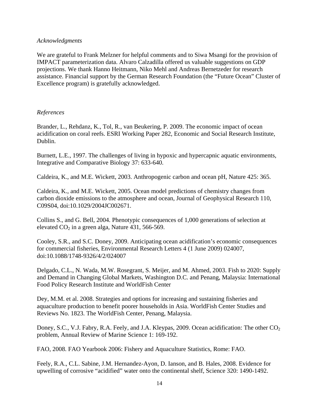## *Acknowledgments*

We are grateful to Frank Melzner for helpful comments and to Siwa Msangi for the provision of IMPACT parameterization data. Alvaro Calzadilla offered us valuable suggestions on GDP projections. We thank Hanno Heitmann, Niko Mehl and Andreas Bernetzeder for research assistance. Financial support by the German Research Foundation (the "Future Ocean" Cluster of Excellence program) is gratefully acknowledged.

## *References*

Brander, L., Rehdanz, K., Tol, R., van Beukering, P. 2009. The economic impact of ocean acidification on coral reefs. ESRI Working Paper 282, Economic and Social Research Institute, Dublin.

Burnett, L.E., 1997. The challenges of living in hypoxic and hypercapnic aquatic environments, Integrative and Comparative Biology 37: 633-640.

Caldeira, K., and M.E. Wickett, 2003. Anthropogenic carbon and ocean pH, Nature 425: 365.

Caldeira, K., and M.E. Wickett, 2005. Ocean model predictions of chemistry changes from carbon dioxide emissions to the atmosphere and ocean, Journal of Geophysical Research 110, C09S04, doi:10.1029/2004JC002671.

Collins S., and G. Bell, 2004. Phenotypic consequences of 1,000 generations of selection at elevated  $CO<sub>2</sub>$  in a green alga, Nature 431, 566-569.

Cooley, S.R., and S.C. Doney, 2009. Anticipating ocean acidification's economic consequences for commercial fisheries, Environmental Research Letters 4 (1 June 2009) 024007, doi:10.1088/1748-9326/4/2/024007

Delgado, C.L., N. Wada, M.W. Rosegrant, S. Meijer, and M. Ahmed, 2003. Fish to 2020: Supply and Demand in Changing Global Markets, Washington D.C. and Penang, Malaysia: International Food Policy Research Institute and WorldFish Center

Dey, M.M. et al. 2008. Strategies and options for increasing and sustaining fisheries and aquaculture production to benefit poorer households in Asia. WorldFish Center Studies and Reviews No. 1823. The WorldFish Center, Penang, Malaysia.

Doney, S.C., V.J. Fabry, R.A. Feely, and J.A. Kleypas, 2009. Ocean acidification: The other CO<sub>2</sub> problem, Annual Review of Marine Science 1: 169-192.

FAO, 2008. FAO Yearbook 2006: Fishery and Aquaculture Statistics, Rome: FAO.

Feely, R.A., C.L. Sabine, J.M. Hernandez-Ayon, D. Ianson, and B. Hales, 2008. Evidence for upwelling of corrosive "acidified" water onto the continental shelf, Science 320: 1490-1492.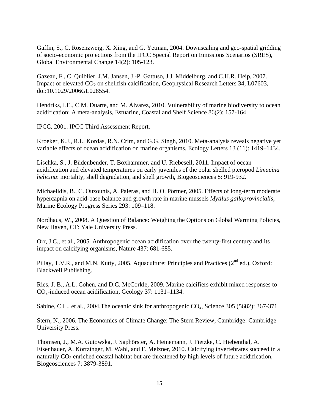Gaffin, S., C. Rosenzweig, X. Xing, and G. Yetman, 2004. Downscaling and geo-spatial gridding of socio-economic projections from the IPCC Special Report on Emissions Scenarios (SRES), Global Environmental Change 14(2): 105-123.

Gazeau, F., C. Quiblier, J.M. Jansen, J.-P. Gattuso, J.J. Middelburg, and C.H.R. Heip, 2007. Impact of elevated  $CO<sub>2</sub>$  on shellfish calcification, Geophysical Research Letters 34, L07603, doi:10.1029/2006GL028554.

Hendriks, I.E., C.M. Duarte, and M. Álvarez, 2010. Vulnerability of marine biodiversity to ocean acidification: A meta-analysis, Estuarine, Coastal and Shelf Science 86(2): 157-164.

IPCC, 2001. IPCC Third Assessment Report.

Kroeker, K.J., R.L. Kordas, R.N. Crim, and G.G. Singh, 2010. Meta-analysis reveals negative yet variable effects of ocean acidification on marine organisms, Ecology Letters 13 (11): 1419–1434.

Lischka, S., J. Büdenbender, T. Boxhammer, and U. Riebesell, 2011. Impact of ocean acidification and elevated temperatures on early juveniles of the polar shelled pteropod *Limacina helicina*: mortality, shell degradation, and shell growth, Biogeosciences 8: 919-932.

Michaelidis, B., C. Ouzounis, A. Paleras, and H. O. Pörtner, 2005. Effects of long-term moderate hypercapnia on acid-base balance and growth rate in marine mussels *Mytilus galloprovincialis*, Marine Ecology Progress Series 293: 109–118.

Nordhaus, W., 2008. A Question of Balance: Weighing the Options on Global Warming Policies, New Haven, CT: Yale University Press.

Orr, J.C., et al., 2005. Anthropogenic ocean acidification over the twenty-first century and its impact on calcifying organisms, Nature 437: 681-685.

Pillay, T.V.R., and M.N. Kutty, 2005. Aquaculture: Principles and Practices (2<sup>nd</sup> ed.), Oxford: Blackwell Publishing.

Ries, J. B., A.L. Cohen, and D.C. McCorkle, 2009. Marine calcifiers exhibit mixed responses to CO2-induced ocean acidification, Geology 37: 1131–1134.

Sabine, C.L., et al., 2004. The oceanic sink for anthropogenic  $CO_2$ , Science 305 (5682): 367-371.

Stern, N., 2006. The Economics of Climate Change: The Stern Review, Cambridge: Cambridge University Press.

Thomsen, J., M.A. Gutowska, J. Saphörster, A. Heinemann, J. Fietzke, C. Hiebenthal, A. Eisenhauer, A. Körtzinger, M. Wahl, and F. Melzner, 2010. Calcifying invertebrates succeed in a naturally  $CO<sub>2</sub>$  enriched coastal habitat but are threatened by high levels of future acidification, Biogeosciences 7: 3879-3891.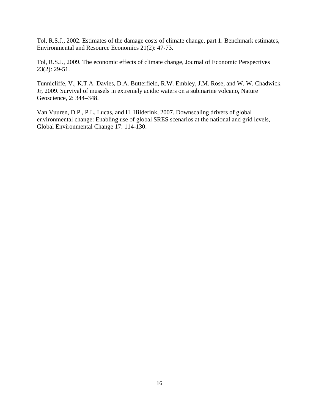Tol, R.S.J., 2002. Estimates of the damage costs of climate change, part 1: Benchmark estimates, Environmental and Resource Economics 21(2): 47-73.

Tol, R.S.J., 2009. The economic effects of climate change, Journal of Economic Perspectives 23(2): 29-51.

Tunnicliffe, V., K.T.A. Davies, D.A. Butterfield, R.W. Embley, J.M. Rose, and W. W. Chadwick Jr, 2009. Survival of mussels in extremely acidic waters on a submarine volcano, Nature Geoscience, 2: 344–348.

Van Vuuren, D.P., P.L. Lucas, and H. Hilderink, 2007. Downscaling drivers of global environmental change: Enabling use of global SRES scenarios at the national and grid levels, Global Environmental Change 17: 114-130.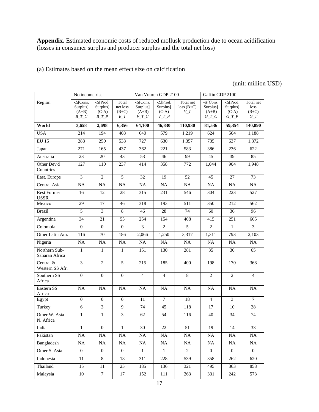**Appendix.** Estimated economic costs of reduced mollusk production due to ocean acidification (losses in consumer surplus and producer surplus and the total net loss)

(a) Estimates based on the mean effect size on calcification

## (unit: million USD)

|                                   | No income rise                                     |                                                    |                                          |                                                    | Van Vuuren GDP 2100                                |                                   | Gaffin GDP 2100                                    |                                                    |                                       |
|-----------------------------------|----------------------------------------------------|----------------------------------------------------|------------------------------------------|----------------------------------------------------|----------------------------------------------------|-----------------------------------|----------------------------------------------------|----------------------------------------------------|---------------------------------------|
| Region                            | $-\Delta$ [Cons.<br>Surplus]<br>$(A+B)$<br>$B_T_C$ | $-\Delta$ [Prod.<br>Surplus]<br>$(C-A)$<br>$B_T_P$ | Total<br>net loss<br>$(B+C)$<br>$B_{-}T$ | $-\Delta$ [Cons.<br>Surplus]<br>$(A+B)$<br>$V_T_C$ | $-\Delta$ [Prod.<br>Surplus]<br>$(C-A)$<br>$V_T_P$ | Total net<br>$loss(B+C)$<br>$V_T$ | $-\Delta$ [Cons.<br>Surplus]<br>$(A+B)$<br>$G_T_C$ | $-\Delta$ [Prod.<br>Surplus]<br>$(C-A)$<br>$G_T_P$ | Total net<br>loss<br>$(B+C)$<br>$G_T$ |
| World                             | 3,658                                              | 2,698                                              | 6,356                                    | 64,100                                             | 46,830                                             | 110,930                           | 81,536                                             | 59,354                                             | 140,890                               |
| <b>USA</b>                        | 214                                                | 194                                                | 408                                      | 640                                                | 579                                                | 1,219                             | 624                                                | 564                                                | 1,188                                 |
| <b>EU 15</b>                      | 288                                                | 250                                                | 538                                      | 727                                                | 630                                                | 1,357                             | 735                                                | 637                                                | 1,372                                 |
| Japan                             | 271                                                | 165                                                | 437                                      | 362                                                | 221                                                | 583                               | 386                                                | 236                                                | 622                                   |
| Australia                         | 23                                                 | 20                                                 | 43                                       | 53                                                 | 46                                                 | 99                                | 45                                                 | 39                                                 | 85                                    |
| Other Dev'd<br>Countries          | 127                                                | 110                                                | 237                                      | 414                                                | 358                                                | 772                               | 1,044                                              | 904                                                | 1,948                                 |
| East. Europe                      | 3                                                  | $\overline{2}$                                     | 5                                        | 32                                                 | 19                                                 | 52                                | 45                                                 | 27                                                 | 73                                    |
| Central Asia                      | NA                                                 | <b>NA</b>                                          | NA                                       | NA                                                 | NA                                                 | <b>NA</b>                         | <b>NA</b>                                          | NA                                                 | NA                                    |
| <b>Rest Former</b><br><b>USSR</b> | 16                                                 | 12                                                 | 28                                       | 315                                                | 231                                                | 546                               | 304                                                | 223                                                | 527                                   |
| Mexico                            | 29                                                 | 17                                                 | 46                                       | 318                                                | 193                                                | 511                               | 350                                                | 212                                                | 562                                   |
| <b>Brazil</b>                     | 5                                                  | $\overline{3}$                                     | 8                                        | 46                                                 | 28                                                 | 74                                | 60                                                 | 36                                                 | 96                                    |
| Argentina                         | 34                                                 | 21                                                 | 55                                       | 254                                                | 154                                                | 408                               | 415                                                | 251                                                | 665                                   |
| Colombia                          | $\overline{0}$                                     | $\overline{0}$                                     | $\overline{0}$                           | $\overline{3}$                                     | $\overline{2}$                                     | 5                                 | $\overline{2}$                                     | $\mathbf{1}$                                       | 3                                     |
| Other Latin Am.                   | 116                                                | 70                                                 | 186                                      | 2,066                                              | 1,250                                              | 3,317                             | 1,311                                              | 793                                                | 2,103                                 |
| Nigeria                           | $\overline{NA}$                                    | $\overline{NA}$                                    | NA                                       | $\overline{NA}$                                    | $\overline{NA}$                                    | $\overline{NA}$                   | $\overline{NA}$                                    | $\overline{NA}$                                    | NA                                    |
| Northern Sub-<br>Saharan Africa   | $\mathbf{1}$                                       | $\mathbf{1}$                                       | $\mathbf{1}$                             | 151                                                | 130                                                | 281                               | 35                                                 | 30                                                 | 65                                    |
| Central &<br>Western SS Afr.      | $\overline{3}$                                     | $\overline{c}$                                     | 5                                        | 215                                                | 185                                                | 400                               | 198                                                | 170                                                | 368                                   |
| Southern SS<br>Africa             | $\mathbf{0}$                                       | $\boldsymbol{0}$                                   | $\overline{0}$                           | $\overline{4}$                                     | $\overline{4}$                                     | 8                                 | $\overline{2}$                                     | $\overline{2}$                                     | $\overline{4}$                        |
| Eastern SS<br>Africa              | <b>NA</b>                                          | <b>NA</b>                                          | <b>NA</b>                                | <b>NA</b>                                          | <b>NA</b>                                          | <b>NA</b>                         | <b>NA</b>                                          | <b>NA</b>                                          | <b>NA</b>                             |
| Egypt                             | $\overline{0}$                                     | $\mathbf{0}$                                       | $\overline{0}$                           | 11                                                 | $\tau$                                             | 18                                | $\overline{4}$                                     | 3                                                  | $\tau$                                |
| Turkey                            | 6                                                  | $\overline{3}$                                     | 9                                        | 74                                                 | 45                                                 | 118                               | 17                                                 | 10                                                 | 28                                    |
| Other W. Asia<br>N. Africa        | $\mathbf{1}$                                       | 1                                                  | 3                                        | 62                                                 | 54                                                 | 116                               | 40                                                 | 34                                                 | 74                                    |
| India                             | $\mathbf 1$                                        | $\boldsymbol{0}$                                   | $\mathbf{1}$                             | 30                                                 | 22                                                 | 51                                | 19                                                 | 14                                                 | 33                                    |
| Pakistan                          | $\rm NA$                                           | NA                                                 | NA                                       | NA                                                 | NA                                                 | NA                                | $\rm NA$                                           | NA                                                 | NA                                    |
| Bangladesh                        | NA                                                 | NA                                                 | NA                                       | NA                                                 | NA                                                 | NA                                | NA                                                 | NA                                                 | NA                                    |
| Other S. Asia                     | $\overline{0}$                                     | $\boldsymbol{0}$                                   | $\overline{0}$                           | $\mathbf{1}$                                       | $\mathbf{1}$                                       | $\overline{2}$                    | $\overline{0}$                                     | $\overline{0}$                                     | $\overline{0}$                        |
| Indonesia                         | 11                                                 | $\,8\,$                                            | 18                                       | 311                                                | 228                                                | 539                               | 358                                                | 262                                                | 620                                   |
| Thailand                          | 15                                                 | 11                                                 | 25                                       | 185                                                | 136                                                | 321                               | 495                                                | 363                                                | 858                                   |
| Malaysia                          | 10                                                 | $\tau$                                             | 17                                       | 152                                                | $111\,$                                            | 263                               | 331                                                | 242                                                | 573                                   |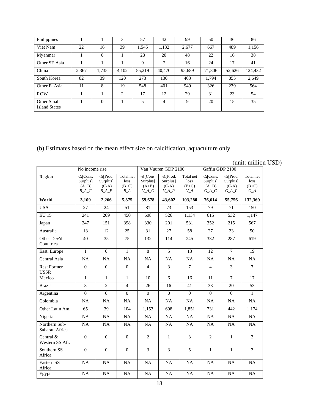| Philippines                         |       |          | 3              | 57     | 42     | 99     | 50     | 36     | 86      |
|-------------------------------------|-------|----------|----------------|--------|--------|--------|--------|--------|---------|
| Viet Nam                            | 22    | 16       | 39             | 1,545  | 1,132  | 2,677  | 667    | 489    | 1,156   |
| Myanmar                             |       | $\theta$ |                | 28     | 20     | 48     | 22     | 16     | 38      |
| Other SE Asia                       |       |          |                | 9      | 7      | 16     | 24     | 17     | 41      |
| China                               | 2,367 | 1,735    | 4,102          | 55,219 | 40,470 | 95,689 | 71,806 | 52,626 | 124,432 |
| South Korea                         | 82    | 39       | 120            | 273    | 130    | 403    | 1,794  | 855    | 2,649   |
| Other E. Asia                       | 11    | 8        | 19             | 548    | 401    | 949    | 326    | 239    | 564     |
| <b>ROW</b>                          |       |          | $\mathfrak{D}$ | 17     | 12     | 29     | 31     | 23     | 54      |
| Other Small<br><b>Island States</b> |       | $\Omega$ |                | 5      | 4      | 9      | 20     | 15     | 35      |

(b) Estimates based on the mean effect size on calcification, aquaculture only

(unit: million USD)

|                                   | No income rise                                     |                                                     |                                       |                                                   | Van Vuuren GDP 2100                                |                                       | Gaffin GDP 2100                                    |                                                   |                                       |
|-----------------------------------|----------------------------------------------------|-----------------------------------------------------|---------------------------------------|---------------------------------------------------|----------------------------------------------------|---------------------------------------|----------------------------------------------------|---------------------------------------------------|---------------------------------------|
| Region                            | $-\Delta$ [Cons.<br>Surplus]<br>$(A+B)$<br>$B_A_C$ | $-\Delta[Prod.$<br>Surplus]<br>$(C-A)$<br>$B\_A\_P$ | Total net<br>loss<br>$(B+C)$<br>$B_A$ | $-\Delta$ Cons.<br>Surplus]<br>$(A+B)$<br>$V_A_C$ | $-\Delta$ [Prod.<br>Surplus]<br>$(C-A)$<br>$V_A_P$ | Total net<br>loss<br>$(B+C)$<br>$V_A$ | $-\Delta$ [Cons.<br>Surplus]<br>$(A+B)$<br>$G_A_C$ | $-\Delta[Prod]$<br>Surplus]<br>$(C-A)$<br>$G_A P$ | Total net<br>loss<br>$(B+C)$<br>$G_A$ |
| World                             | 3,109                                              | 2,266                                               | 5,375                                 | 59,678                                            | 43,602                                             | 103,280                               | 76,614                                             | 55,756                                            | 132,369                               |
| <b>USA</b>                        | 27                                                 | 24                                                  | 51                                    | 81                                                | 73                                                 | 153                                   | 79                                                 | 71                                                | 150                                   |
| <b>EU 15</b>                      | 241                                                | 209                                                 | 450                                   | 608                                               | 526                                                | 1,134                                 | 615                                                | 532                                               | 1,147                                 |
| Japan                             | 247                                                | 151                                                 | 398                                   | 330                                               | 201                                                | 531                                   | 352                                                | 215                                               | 567                                   |
| Australia                         | 13                                                 | 12                                                  | 25                                    | 31                                                | 27                                                 | 58                                    | 27                                                 | 23                                                | 50                                    |
| Other Dev'd<br>Countries          | 40                                                 | 35                                                  | 75                                    | 132                                               | 114                                                | 245                                   | 332                                                | 287                                               | 619                                   |
| East. Europe                      | $\mathbf{1}$                                       | $\overline{0}$                                      | $\mathbf{1}$                          | $\overline{8}$                                    | 5                                                  | 13                                    | 12                                                 | $\tau$                                            | 19                                    |
| Central Asia                      | NA                                                 | <b>NA</b>                                           | <b>NA</b>                             | <b>NA</b>                                         | NA                                                 | NA                                    | <b>NA</b>                                          | NA                                                | NA                                    |
| <b>Rest Former</b><br><b>USSR</b> | $\mathbf{0}$                                       | $\Omega$                                            | $\Omega$                              | $\overline{4}$                                    | $\overline{3}$                                     | $\overline{7}$                        | $\overline{4}$                                     | $\overline{3}$                                    | $\tau$                                |
| Mexico                            | $\mathbf{1}$                                       | $\mathbf{1}$                                        | $\mathbf{1}$                          | 10                                                | 6                                                  | 16                                    | 11                                                 | $\tau$                                            | 17                                    |
| <b>Brazil</b>                     | $\overline{\mathbf{3}}$                            | $\overline{2}$                                      | $\overline{4}$                        | 26                                                | 16                                                 | 41                                    | 33                                                 | 20                                                | 53                                    |
| Argentina                         | $\boldsymbol{0}$                                   | $\Omega$                                            | $\Omega$                              | $\Omega$                                          | $\Omega$                                           | $\Omega$                              | $\theta$                                           | $\Omega$                                          | $\mathbf{1}$                          |
| Colombia                          | NA                                                 | NA                                                  | $\overline{NA}$                       | NA                                                | NA                                                 | NA                                    | $\overline{NA}$                                    | NA                                                | $\overline{NA}$                       |
| Other Latin Am.                   | 65                                                 | 39                                                  | 104                                   | 1,153                                             | 698                                                | 1,851                                 | 731                                                | 442                                               | 1,174                                 |
| Nigeria                           | NA                                                 | NA                                                  | <b>NA</b>                             | NA                                                | <b>NA</b>                                          | <b>NA</b>                             | <b>NA</b>                                          | <b>NA</b>                                         | <b>NA</b>                             |
| Northern Sub-<br>Saharan Africa   | NA                                                 | NA                                                  | NA                                    | NA                                                | NA                                                 | NA                                    | <b>NA</b>                                          | NA                                                | NA                                    |
| Central &<br>Western SS Afr.      | $\mathbf{0}$                                       | $\overline{0}$                                      | $\overline{0}$                        | 2                                                 | $\mathbf{1}$                                       | 3                                     | 2                                                  | $\mathbf{1}$                                      | $\overline{3}$                        |
| Southern SS<br>Africa             | $\mathbf{0}$                                       | $\Omega$                                            | $\overline{0}$                        | $\overline{3}$                                    | $\mathfrak{Z}$                                     | $\overline{5}$                        | $\mathbf{1}$                                       | $\mathbf{1}$                                      | $\overline{3}$                        |
| Eastern SS<br>Africa              | NA                                                 | NA                                                  | NA                                    | NA                                                | NA                                                 | NA                                    | NA                                                 | NA                                                | NA                                    |
| Egypt                             | $\overline{NA}$                                    | NA                                                  | NA                                    | NA                                                | NA                                                 | NA                                    | NA                                                 | NA                                                | NA                                    |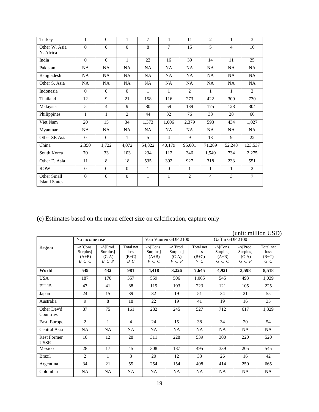| Turkey                              | 1         | $\Omega$       | $\mathbf{1}$ | 7            | $\overline{4}$ | 11             | 2              | 1              | 3              |
|-------------------------------------|-----------|----------------|--------------|--------------|----------------|----------------|----------------|----------------|----------------|
| Other W. Asia<br>N. Africa          | $\Omega$  | $\Omega$       | $\Omega$     | 8            | 7              | 15             | 5              | $\overline{4}$ | 10             |
| India                               | $\Omega$  | $\Omega$       | $\mathbf{1}$ | 22           | 16             | 39             | 14             | 11             | 25             |
| Pakistan                            | NA        | NA             | NA           | NA           | <b>NA</b>      | NA             | NA             | NA             | NA             |
| Bangladesh                          | NA        | <b>NA</b>      | NA           | <b>NA</b>    | NA             | NA             | <b>NA</b>      | NA             | NA             |
| Other S. Asia                       | <b>NA</b> | NA.            | NA           | <b>NA</b>    | <b>NA</b>      | <b>NA</b>      | <b>NA</b>      | NA.            | <b>NA</b>      |
| Indonesia                           | $\Omega$  | $\Omega$       | $\Omega$     | 1            | 1              | $\overline{2}$ | $\mathbf{1}$   | 1              | 2              |
| Thailand                            | 12        | 9              | 21           | 158          | 116            | 273            | 422            | 309            | 730            |
| Malaysia                            | 5         | $\overline{4}$ | 9            | 80           | 59             | 139            | 175            | 128            | 304            |
| Philippines                         | 1         | $\mathbf{1}$   | 2            | 44           | 32             | 76             | 38             | 28             | 66             |
| Viet Nam                            | 20        | 15             | 34           | 1,373        | 1,006          | 2,379          | 593            | 434            | 1,027          |
| Myanmar                             | <b>NA</b> | NA.            | NA           | NA.          | NA             | NA.            | <b>NA</b>      | <b>NA</b>      | NA.            |
| Other SE Asia                       | $\Omega$  | $\Omega$       | 1            | 5            | 4              | 9              | 13             | 9              | 22             |
| China                               | 2,350     | 1,722          | 4.072        | 54,822       | 40,179         | 95,001         | 71,289         | 52,248         | 123,537        |
| South Korea                         | 70        | 33             | 103          | 234          | 112            | 346            | 1,540          | 734            | 2,275          |
| Other E. Asia                       | 11        | 8              | 18           | 535          | 392            | 927            | 318            | 233            | 551            |
| <b>ROW</b>                          | $\theta$  | $\Omega$       | $\Omega$     | 1            | $\Omega$       | $\mathbf{1}$   | $\mathbf{1}$   | $\mathbf{1}$   | 2              |
| Other Small<br><b>Island States</b> | $\theta$  | $\theta$       | $\mathbf{0}$ | $\mathbf{1}$ | $\mathbf{1}$   | $\overline{c}$ | $\overline{4}$ | 3              | $\overline{7}$ |

(c) Estimates based on the mean effect size on calcification, capture only

|                                   |                                                          |                                                    |                                       |                                                      |                                                          |                                        |                                                    |                                                      | (unit: million USD)                   |
|-----------------------------------|----------------------------------------------------------|----------------------------------------------------|---------------------------------------|------------------------------------------------------|----------------------------------------------------------|----------------------------------------|----------------------------------------------------|------------------------------------------------------|---------------------------------------|
|                                   | No income rise                                           |                                                    |                                       |                                                      | Van Vuuren GDP 2100                                      |                                        | Gaffin GDP 2100                                    |                                                      |                                       |
| Region                            | $-\Delta$ [Cons.<br>Surplus]<br>$(A+B)$<br>$B_{-}C_{-}C$ | $-\Delta$ [Prod.<br>Surplus]<br>$(C-A)$<br>$B_C_P$ | Total net<br>loss<br>$(B+C)$<br>$B_C$ | $-\Delta$ [Cons.<br>Surplus]<br>$(A+B)$<br>$V\_C\_C$ | $-\Delta$ [Prod.<br>Surplus]<br>$(C-A)$<br>$V_{-}C_{-}P$ | Total net<br>loss<br>$(B+C)$<br>$V\_C$ | $-\Delta$ [Cons.<br>Surplus]<br>$(A+B)$<br>$G_C_C$ | $-\Delta$ [Prod.<br>Surplus]<br>$(C-A)$<br>$G\_C\_P$ | Total net<br>loss<br>$(B+C)$<br>$G_C$ |
| World                             | 549                                                      | 432                                                | 981                                   | 4,418                                                | 3,226                                                    | 7,645                                  | 4,921                                              | 3,598                                                | 8,518                                 |
| <b>USA</b>                        | 187                                                      | 170                                                | 357                                   | 559                                                  | 506                                                      | 1,065                                  | 545                                                | 493                                                  | 1,039                                 |
| <b>EU 15</b>                      | 47                                                       | 41                                                 | 88                                    | 119                                                  | 103                                                      | 223                                    | 121                                                | 105                                                  | 225                                   |
| Japan                             | 24                                                       | 15                                                 | 39                                    | 32                                                   | 19                                                       | 51                                     | 34                                                 | 21                                                   | 55                                    |
| Australia                         | 9                                                        | 8                                                  | 18                                    | 22                                                   | 19                                                       | 41                                     | 19                                                 | 16                                                   | 35                                    |
| Other Dev'd<br>Countries          | 87                                                       | 75                                                 | 161                                   | 282                                                  | 245                                                      | 527                                    | 712                                                | 617                                                  | 1,329                                 |
| East. Europe                      | $\overline{2}$                                           | $\mathbf{1}$                                       | $\overline{4}$                        | 24                                                   | 15                                                       | 38                                     | 34                                                 | 20                                                   | 54                                    |
| Central Asia                      | <b>NA</b>                                                | <b>NA</b>                                          | <b>NA</b>                             | <b>NA</b>                                            | <b>NA</b>                                                | <b>NA</b>                              | <b>NA</b>                                          | <b>NA</b>                                            | <b>NA</b>                             |
| <b>Rest Former</b><br><b>USSR</b> | 16                                                       | 12                                                 | 28                                    | 311                                                  | 228                                                      | 539                                    | 300                                                | 220                                                  | 520                                   |
| Mexico                            | 28                                                       | 17                                                 | 45                                    | 308                                                  | 187                                                      | 495                                    | 339                                                | 205                                                  | 545                                   |
| <b>Brazil</b>                     | $\overline{2}$                                           | $\mathbf{1}$                                       | 3                                     | 20                                                   | 12                                                       | 33                                     | 26                                                 | 16                                                   | 42                                    |
| Argentina                         | 34                                                       | 21                                                 | 55                                    | 254                                                  | 154                                                      | 408                                    | 414                                                | 250                                                  | 665                                   |
| Colombia                          | <b>NA</b>                                                | <b>NA</b>                                          | <b>NA</b>                             | <b>NA</b>                                            | <b>NA</b>                                                | NA                                     | NA                                                 | <b>NA</b>                                            | <b>NA</b>                             |

19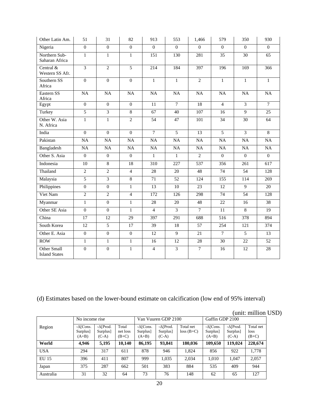| Other Latin Am.                     | 51               | 31               | 82               | 913             | 553             | 1,466           | 579             | 350              | 930             |
|-------------------------------------|------------------|------------------|------------------|-----------------|-----------------|-----------------|-----------------|------------------|-----------------|
| Nigeria                             | $\Omega$         | $\Omega$         | $\Omega$         | $\Omega$        | $\Omega$        | $\Omega$        | $\Omega$        | $\Omega$         | $\Omega$        |
| Northern Sub-<br>Saharan Africa     | $\mathbf{1}$     | $\mathbf{1}$     | $\mathbf{1}$     | 151             | 130             | 281             | 35              | 30               | 65              |
| Central &<br>Western SS Afr.        | $\overline{3}$   | $\overline{2}$   | $\overline{5}$   | 214             | 184             | 397             | 196             | 169              | 366             |
| Southern SS<br>Africa               | $\boldsymbol{0}$ | $\mathbf{0}$     | $\boldsymbol{0}$ | $\mathbf{1}$    | $\mathbf{1}$    | $\overline{2}$  | $\mathbf{1}$    | $\mathbf{1}$     | $\mathbf{1}$    |
| Eastern SS<br>Africa                | NA               | $\overline{NA}$  | $\overline{NA}$  | $\overline{NA}$ | $\overline{NA}$ | $\overline{NA}$ | $\overline{NA}$ | NA               | NA              |
| Egypt                               | $\Omega$         | $\mathbf{0}$     | $\Omega$         | 11              | $\tau$          | 18              | $\overline{4}$  | $\overline{3}$   | $\overline{7}$  |
| Turkey                              | $\overline{5}$   | $\overline{3}$   | 8                | 67              | 40              | 107             | 16              | 9                | 25              |
| Other W. Asia<br>N. Africa          | $\mathbf{1}$     | $\mathbf{1}$     | $\overline{2}$   | 54              | 47              | 101             | 34              | 30               | 64              |
| India                               | $\Omega$         | $\Omega$         | $\Omega$         | $\tau$          | 5               | 13              | 5               | $\overline{3}$   | 8               |
| Pakistan                            | NA               | $\overline{NA}$  | NA               | NA              | $\overline{NA}$ | NA              | $\overline{NA}$ | NA               | NA              |
| Bangladesh                          | NA               | $\rm NA$         | NA               | NA              | NA              | NA              | NA              | $\rm NA$         | NA              |
| Other S. Asia                       | $\mathbf{0}$     | $\boldsymbol{0}$ | $\mathbf{0}$     | $\mathbf{1}$    | $\mathbf{1}$    | $\overline{2}$  | $\Omega$        | $\overline{0}$   | $\overline{0}$  |
| Indonesia                           | 10               | $\overline{8}$   | 18               | 310             | 227             | 537             | 356             | 261              | 617             |
| Thailand                            | $\overline{2}$   | $\overline{2}$   | $\overline{4}$   | $\overline{28}$ | 20              | 48              | 74              | 54               | 128             |
| Malaysia                            | $\overline{5}$   | $\overline{3}$   | $\overline{8}$   | 71              | 52              | 124             | 155             | 114              | 269             |
| Philippines                         | $\mathbf{0}$     | $\boldsymbol{0}$ | $\mathbf{1}$     | 13              | 10              | 23              | 12              | 9                | 20              |
| Viet Nam                            | $\overline{2}$   | $\overline{2}$   | $\overline{4}$   | 172             | 126             | 298             | 74              | 54               | 128             |
| Myanmar                             | $\mathbf{1}$     | $\boldsymbol{0}$ | $\mathbf{1}$     | 28              | 20              | 48              | 22              | 16               | 38              |
| Other SE Asia                       | $\mathbf{0}$     | $\boldsymbol{0}$ | $\mathbf{1}$     | $\overline{4}$  | $\overline{3}$  | $\overline{7}$  | $\overline{11}$ | 8                | $\overline{19}$ |
| China                               | 17               | 12               | 29               | 397             | 291             | 688             | 516             | 378              | 894             |
| South Korea                         | 12               | $\overline{5}$   | 17               | 39              | 18              | 57              | 254             | $\overline{121}$ | 374             |
| Other E. Asia                       | $\overline{0}$   | $\overline{0}$   | $\overline{0}$   | 12              | $\overline{9}$  | 21              | $\overline{7}$  | $\overline{5}$   | 13              |
| <b>ROW</b>                          | $\mathbf{1}$     | $\mathbf{1}$     | $\mathbf{1}$     | 16              | 12              | 28              | 30              | 22               | 52              |
| Other Small<br><b>Island States</b> | $\overline{0}$   | $\overline{0}$   | $\mathbf{1}$     | $\overline{4}$  | $\overline{3}$  | $\tau$          | 16              | 12               | 28              |

(d) Estimates based on the lower-bound estimate on calcification (low end of 95% interval)

# (unit: million USD)

|              | No income rise                          |                                         |                              |                                         | Van Vuuren GDP 2100                     |                          | Gaffin GDP 2100                         |                                         |                              |
|--------------|-----------------------------------------|-----------------------------------------|------------------------------|-----------------------------------------|-----------------------------------------|--------------------------|-----------------------------------------|-----------------------------------------|------------------------------|
| Region       | $-\Delta$ [Cons.<br>Surplus]<br>$(A+B)$ | $-\Delta$ [Prod.<br>Surplus]<br>$(C-A)$ | Total<br>net loss<br>$(B+C)$ | $-\Delta$ [Cons.<br>Surplus]<br>$(A+B)$ | $-\Delta$ [Prod.<br>Surplus]<br>$(C-A)$ | Total net<br>$loss(B+C)$ | $-\Delta$ [Cons.<br>Surplus]<br>$(A+B)$ | $-\Delta$ [Prod.<br>Surplus]<br>$(C-A)$ | Total net<br>loss<br>$(B+C)$ |
| World        | 4,946                                   | 5,195                                   | 10.140                       | 86,195                                  | 93,841                                  | 180,036                  | 109,650                                 | 119,024                                 | 228,674                      |
| <b>USA</b>   | 294                                     | 317                                     | 611                          | 878                                     | 946                                     | 1,824                    | 856                                     | 922                                     | 1,778                        |
| <b>EU 15</b> | 396                                     | 411                                     | 807                          | 999                                     | 1,035                                   | 2,034                    | 1,010                                   | 1,047                                   | 2,057                        |
| Japan        | 375                                     | 287                                     | 662                          | 501                                     | 383                                     | 884                      | 535                                     | 409                                     | 944                          |
| Australia    | 31                                      | 32                                      | 64                           | 73                                      | 76                                      | 148                      | 62                                      | 65                                      | 127                          |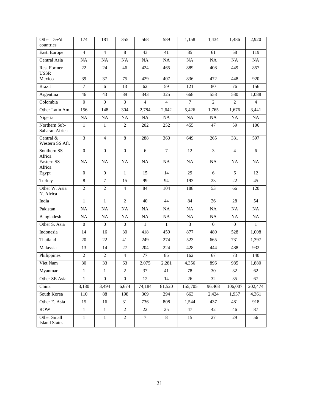| Other Dev'd<br>countries            | 174              | 181              | 355            | 568             | 589             | 1,158           | 1,434          | 1,486          | 2,920           |
|-------------------------------------|------------------|------------------|----------------|-----------------|-----------------|-----------------|----------------|----------------|-----------------|
| East. Europe                        | $\overline{4}$   | $\overline{4}$   | 8              | 43              | 41              | 85              | 61             | 58             | 119             |
| Central Asia                        | <b>NA</b>        | <b>NA</b>        | NA             | NA              | NA              | NA              | <b>NA</b>      | NA             | NA              |
| <b>Rest Former</b><br><b>USSR</b>   | 22               | 24               | 46             | 424             | 465             | 889             | 408            | 449            | 857             |
| Mexico                              | 39               | $\overline{37}$  | 75             | 429             | 407             | 836             | 472            | 448            | 920             |
| <b>Brazil</b>                       | $\tau$           | 6                | 13             | 62              | 59              | 121             | 80             | 76             | 156             |
| Argentina                           | 46               | 43               | 89             | 343             | 325             | 668             | 558            | 530            | 1,088           |
| Colombia                            | $\mathbf{0}$     | 0                | $\overline{0}$ | 4               | 4               | 7               | 2              | 2              | 4               |
| Other Latin Am.                     | 156              | 148              | 304            | 2,784           | 2,642           | 5,426           | 1,765          | 1,676          | 3,441           |
| Nigeria                             | NA               | NA               | NA             | NA              | NA              | NA              | NA             | NA             | <b>NA</b>       |
| Northern Sub-<br>Saharan Africa     | $\mathbf{1}$     | $\mathbf{1}$     | $\overline{2}$ | 202             | 252             | 455             | 47             | 59             | 106             |
| Central &<br>Western SS Afr.        | 3                | $\overline{4}$   | 8              | 288             | 360             | 649             | 265            | 331            | 597             |
| Southern SS<br>Africa               | $\mathbf{0}$     | $\mathbf{0}$     | $\Omega$       | 6               | $7\phantom{.0}$ | 12              | 3              | $\overline{4}$ | 6               |
| Eastern SS<br>Africa                | <b>NA</b>        | <b>NA</b>        | <b>NA</b>      | <b>NA</b>       | <b>NA</b>       | <b>NA</b>       | <b>NA</b>      | <b>NA</b>      | <b>NA</b>       |
| Egypt                               | $\boldsymbol{0}$ | $\boldsymbol{0}$ | $\mathbf{1}$   | $\overline{15}$ | $\overline{14}$ | $\overline{29}$ | $\overline{6}$ | 6              | $\overline{12}$ |
| Turkey                              | 8                | $\tau$           | 15             | 99              | 94              | 193             | 23             | 22             | 45              |
| Other W. Asia<br>N. Africa          | $\overline{c}$   | $\mathfrak{2}$   | $\overline{4}$ | 84              | 104             | 188             | 53             | 66             | 120             |
| India                               | $\mathbf{1}$     | $\mathbf{1}$     | $\overline{2}$ | 40              | 44              | 84              | 26             | 28             | 54              |
| Pakistan                            | $_{\rm NA}$      | NA               | NA             | NA              | NA              | NA              | NA             | NA             | NA              |
| Bangladesh                          | NA               | NA               | NA             | NA              | NA              | NA              | NA             | NA             | NA              |
| Other S. Asia                       | $\boldsymbol{0}$ | $\boldsymbol{0}$ | $\mathbf{0}$   | $\mathbf{1}$    | $\mathbf{1}$    | $\overline{3}$  | $\overline{0}$ | $\mathbf{0}$   | $\mathbf{1}$    |
| Indonesia                           | 14               | 16               | 30             | 418             | 459             | 877             | 480            | 528            | 1,008           |
| Thailand                            | 20               | 22               | 41             | 249             | 274             | 523             | 665            | 731            | 1,397           |
| Malaysia                            | 13               | 14               | 27             | 204             | 224             | 428             | 444            | 488            | 932             |
| Philippines                         | $\overline{c}$   | $\sqrt{2}$       | $\overline{4}$ | $77\,$          | 85              | 162             | 67             | 73             | 140             |
| Viet Nam                            | 30               | 33               | 63             | 2,075           | 2,281           | 4,356           | 896            | 985            | 1,880           |
| Myanmar                             | 1                | $\mathbf{1}$     | 2              | 37              | 41              | 78              | 30             | 32             | 62              |
| Other SE Asia                       | $\mathbf{1}$     | $\overline{0}$   | $\Omega$       | 12              | 14              | 26              | 32             | 35             | 67              |
| China                               | 3,180            | 3,494            | 6,674          | 74,184          | 81,520          | 155,705         | 96,468         | 106,007        | 202,474         |
| South Korea                         | 110              | 88               | 198            | 369             | 294             | 663             | 2,424          | 1,937          | 4,361           |
| Other E. Asia                       | 15               | 16               | 31             | 736             | 808             | 1,544           | 437            | 481            | 918             |
| <b>ROW</b>                          | $\mathbf{1}$     | $\mathbf{1}$     | $\overline{2}$ | 22              | 25              | 47              | 42             | 46             | 87              |
| Other Small<br><b>Island States</b> | $\mathbf{1}$     | $\mathbf{1}$     | $\overline{c}$ | $\tau$          | 8               | 15              | 27             | 29             | 56              |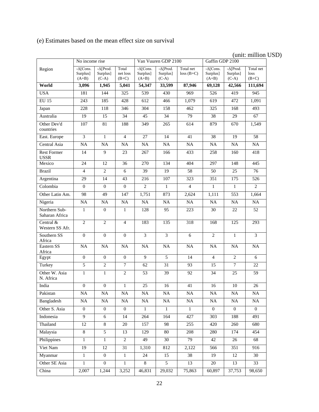# (unit: million USD)

|                                   | No income rise                          |                                         |                              |                                         | Van Vuuren GDP 2100                     |                          | Gaffin GDP 2100                         |                                         |                              |
|-----------------------------------|-----------------------------------------|-----------------------------------------|------------------------------|-----------------------------------------|-----------------------------------------|--------------------------|-----------------------------------------|-----------------------------------------|------------------------------|
| Region                            | $-\Delta$ [Cons.<br>Surplus]<br>$(A+B)$ | $-\Delta$ [Prod.<br>Surplus]<br>$(C-A)$ | Total<br>net loss<br>$(B+C)$ | $-\Delta$ [Cons.<br>Surplus]<br>$(A+B)$ | $-\Delta$ [Prod.<br>Surplus]<br>$(C-A)$ | Total net<br>$loss(B+C)$ | $-\Delta$ [Cons.<br>Surplus]<br>$(A+B)$ | $-\Delta$ [Prod.<br>Surplus]<br>$(C-A)$ | Total net<br>loss<br>$(B+C)$ |
| World                             | 3,096                                   | 1,945                                   | 5,041                        | 54,347                                  | 33,599                                  | 87,946                   | 69,128                                  | 42,566                                  | 111,694                      |
| <b>USA</b>                        | 181                                     | 144                                     | 325                          | 539                                     | 430                                     | 969                      | 526                                     | 419                                     | 945                          |
| <b>EU 15</b>                      | $\overline{243}$                        | 185                                     | 428                          | $\overline{612}$                        | 466                                     | 1,079                    | 619                                     | 472                                     | 1,091                        |
| Japan                             | 228                                     | 118                                     | 346                          | 304                                     | 158                                     | 462                      | 325                                     | 168                                     | 493                          |
| Australia                         | $\overline{19}$                         | $\overline{15}$                         | 34                           | $\overline{45}$                         | $\overline{34}$                         | 79                       | $\overline{38}$                         | 29                                      | 67                           |
| Other Dev'd<br>countries          | 107                                     | 81                                      | 188                          | 349                                     | 265                                     | 614                      | 879                                     | 670                                     | 1,549                        |
| East. Europe                      | 3                                       | $\mathbf{1}$                            | $\overline{4}$               | 27                                      | 14                                      | 41                       | 38                                      | 19                                      | 58                           |
| Central Asia                      | NA                                      | NA                                      | $\rm NA$                     | NA                                      | $\rm NA$                                | NA                       | NA                                      | $\rm NA$                                | NA                           |
| <b>Rest Former</b><br><b>USSR</b> | 14                                      | $\overline{9}$                          | 23                           | 267                                     | 166                                     | 433                      | 258                                     | 160                                     | 418                          |
| Mexico                            | 24                                      | 12                                      | 36                           | 270                                     | 134                                     | 404                      | 297                                     | 148                                     | 445                          |
| <b>Brazil</b>                     | $\overline{4}$                          | $\overline{c}$                          | 6                            | 39                                      | 19                                      | 58                       | 50                                      | 25                                      | 76                           |
| Argentina                         | 29                                      | $\overline{14}$                         | 43                           | $\overline{216}$                        | 107                                     | 323                      | $\overline{351}$                        | 175                                     | 526                          |
| Colombia                          | $\overline{0}$                          | $\boldsymbol{0}$                        | $\mathbf{0}$                 | $\overline{2}$                          | $\mathbf{1}$                            | $\overline{4}$           | $\mathbf{1}$                            | 1                                       | 2                            |
| Other Latin Am.                   | 98                                      | 49                                      | 147                          | 1,751                                   | 873                                     | 2,624                    | 1,111                                   | $\overline{553}$                        | 1,664                        |
| Nigeria                           | NA                                      | <b>NA</b>                               | <b>NA</b>                    | NA                                      | NA                                      | NA                       | <b>NA</b>                               | <b>NA</b>                               | NA                           |
| Northern Sub-<br>Saharan Africa   | $\mathbf{1}$                            | $\boldsymbol{0}$                        | $\mathbf{1}$                 | 128                                     | 95                                      | 223                      | 30                                      | 22                                      | 52                           |
| Central &<br>Western SS Afr.      | $\overline{2}$                          | $\overline{2}$                          | $\overline{4}$               | 183                                     | 135                                     | 318                      | 168                                     | 125                                     | 293                          |
| Southern SS<br>Africa             | $\Omega$                                | $\overline{0}$                          | $\Omega$                     | $\overline{3}$                          | 3                                       | 6                        | $\overline{2}$                          | 1                                       | 3                            |
| Eastern SS<br>Africa              | <b>NA</b>                               | <b>NA</b>                               | <b>NA</b>                    | NA                                      | NA                                      | $\rm NA$                 | <b>NA</b>                               | <b>NA</b>                               | NA                           |
| Egypt                             | $\mathbf{0}$                            | $\boldsymbol{0}$                        | $\boldsymbol{0}$             | 9                                       | $\overline{5}$                          | 14                       | $\overline{4}$                          | 2                                       | 6                            |
| Turkey                            | 5                                       | $\sqrt{2}$                              | $\tau$                       | 62                                      | 31                                      | 93                       | 15                                      | $\tau$                                  | 22                           |
| Other W. Asia<br>N. Africa        | $\mathbf{1}$                            | $\mathbf{1}$                            | $\overline{2}$               | 53                                      | 39                                      | 92                       | 34                                      | 25                                      | 59                           |
| India                             | $\mathbf{0}$                            | $\overline{0}$                          | $\mathbf{1}$                 | 25                                      | 16                                      | 41                       | 16                                      | 10                                      | 26                           |
| Pakistan                          | $\rm NA$                                | NA                                      | $\rm NA$                     | NA                                      | NA                                      | $\rm NA$                 | NA                                      | $\rm NA$                                | $\rm NA$                     |
| Bangladesh                        | NA                                      | NA                                      | NA                           | NA                                      | NA                                      | NA                       | NA                                      | $_{\rm NA}$                             | NA                           |
| Other S. Asia                     | $\overline{0}$                          | $\boldsymbol{0}$                        | $\overline{0}$               | $\mathbf{1}$                            | $\mathbf{1}$                            | $\mathbf{1}$             | $\overline{0}$                          | $\overline{0}$                          | $\overline{0}$               |
| Indonesia                         | $\overline{9}$                          | $6\,$                                   | 14                           | 264                                     | 164                                     | 427                      | 303                                     | 188                                     | 491                          |
| Thailand                          | 12                                      | $8\,$                                   | 20                           | 157                                     | 98                                      | 255                      | 420                                     | 260                                     | 680                          |
| Malaysia                          | $\overline{8}$                          | 5                                       | 13                           | 129                                     | 80                                      | 208                      | 280                                     | 174                                     | 454                          |
| Philippines                       | $\mathbf{1}$                            | $\mathbf{1}$                            | 2                            | 49                                      | 30                                      | 79                       | 42                                      | 26                                      | 68                           |
| Viet Nam                          | 19                                      | 12                                      | 31                           | 1,310                                   | 812                                     | 2,122                    | 566                                     | 351                                     | 916                          |
| Myanmar                           | $\mathbf{1}$                            | $\overline{0}$                          | $\mathbf{1}$                 | 24                                      | 15                                      | 38                       | 19                                      | 12                                      | 30                           |
| Other SE Asia                     | $\mathbf{1}$                            | $\boldsymbol{0}$                        | $\mathbf{1}$                 | $\overline{8}$                          | $\overline{5}$                          | 13                       | 20                                      | 13                                      | 33                           |
| China                             | 2,007                                   | 1,244                                   | 3,252                        | 46,831                                  | 29,032                                  | 75,863                   | 60,897                                  | 37,753                                  | 98,650                       |